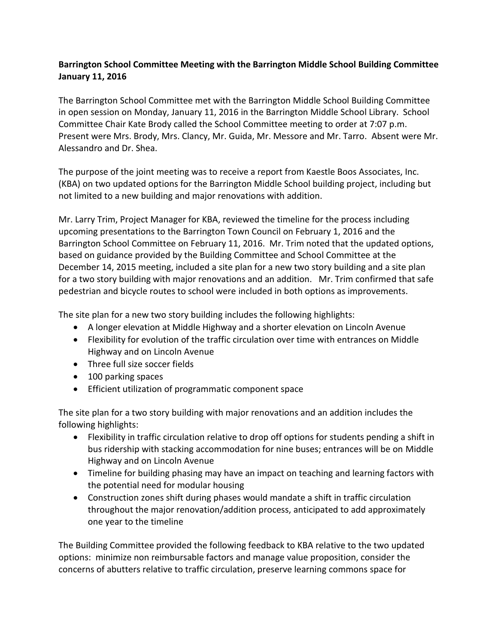## **Barrington School Committee Meeting with the Barrington Middle School Building Committee January 11, 2016**

The Barrington School Committee met with the Barrington Middle School Building Committee in open session on Monday, January 11, 2016 in the Barrington Middle School Library. School Committee Chair Kate Brody called the School Committee meeting to order at 7:07 p.m. Present were Mrs. Brody, Mrs. Clancy, Mr. Guida, Mr. Messore and Mr. Tarro. Absent were Mr. Alessandro and Dr. Shea.

The purpose of the joint meeting was to receive a report from Kaestle Boos Associates, Inc. (KBA) on two updated options for the Barrington Middle School building project, including but not limited to a new building and major renovations with addition.

Mr. Larry Trim, Project Manager for KBA, reviewed the timeline for the process including upcoming presentations to the Barrington Town Council on February 1, 2016 and the Barrington School Committee on February 11, 2016. Mr. Trim noted that the updated options, based on guidance provided by the Building Committee and School Committee at the December 14, 2015 meeting, included a site plan for a new two story building and a site plan for a two story building with major renovations and an addition. Mr. Trim confirmed that safe pedestrian and bicycle routes to school were included in both options as improvements.

The site plan for a new two story building includes the following highlights:

- A longer elevation at Middle Highway and a shorter elevation on Lincoln Avenue
- Flexibility for evolution of the traffic circulation over time with entrances on Middle Highway and on Lincoln Avenue
- Three full size soccer fields
- 100 parking spaces
- Efficient utilization of programmatic component space

The site plan for a two story building with major renovations and an addition includes the following highlights:

- Flexibility in traffic circulation relative to drop off options for students pending a shift in bus ridership with stacking accommodation for nine buses; entrances will be on Middle Highway and on Lincoln Avenue
- Timeline for building phasing may have an impact on teaching and learning factors with the potential need for modular housing
- Construction zones shift during phases would mandate a shift in traffic circulation throughout the major renovation/addition process, anticipated to add approximately one year to the timeline

The Building Committee provided the following feedback to KBA relative to the two updated options: minimize non reimbursable factors and manage value proposition, consider the concerns of abutters relative to traffic circulation, preserve learning commons space for